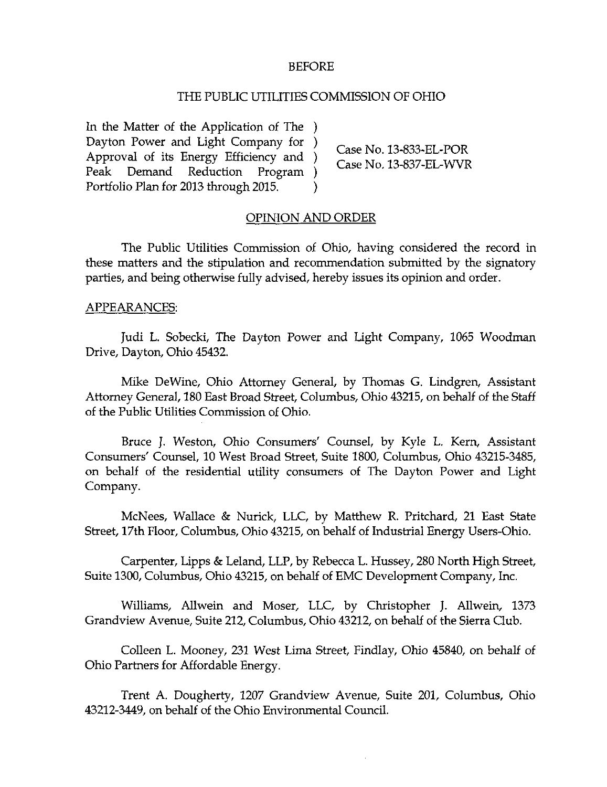#### BEFORE

#### THE PUBLIC UTILITIES COMMISSION OF OHIO

In the Matter of the Application of The ) Dayton Power and Light Company for )  $\qquad$  Case No. 13-833-EL-POR Approval of its Energy Efficiency and )<br>
Peak Demand Reduction Program ) Case No. 13-837-EL-WVR Program ) Portfolio Plan for 2013 through 2015. )

#### OPINION AND ORDER

The Public Utilities Commission of Ohio, having considered the record in these matters and the stipulation and recommendation submitted by the signatory parties, and being otherwise fully advised, hereby issues its opinion and order.

#### APPEARANCES:

Judi L. Sobecki, The Dayton Power and Light Company, 1065 Woodman Drive, Dayton, Ohio 45432.

Mike DeWine, Ohio Attorney General, by Thomas G. Lindgren, Assistant Attorney General, 180 East Broad Street, Columbus, Ohio 43215, on behalf of the Staff of the Public Utilities Commission of Ohio.

Bruce J. Weston, Ohio Consumers' Counsel, by Kyle L. Kern, Assistant Consumers' Counsel, 10 West Broad Stteet, Suite 1800, Columbus, Ohio 43215-3485, on behalf of the residential utility consumers of The Dayton Power and Light Company.

McNees, Wallace & Nurick, LLC, by Matthew R. Pritchard, 21 East State Street, 17th Floor, Columbus, Ohio 43215, on behalf of Industrial Energy Users-Ohio.

Carpenter, Lipps & Leland, LLP, by Rebecca L. Hussey, 280 North High Stteet, Suite 1300, Columbus, Ohio 43215, on behalf of EMC Development Company, Inc.

Williams, Allwein and Moser, LLC, by Christopher J. Allwein, 1373 Grandview Avenue, Suite 212, Columbus, Ohio 43212, on behalf of the Sierra Club.

Colleen L. Mooney, 231 West Lima Street, Findlay, Ohio 45840, on behalf of Ohio Partners for Affordable Energy.

Trent A. Dougherty, 1207 Grandview Avenue, Suite 201, Columbus, Ohio 43212-3449, on behalf of the Ohio Environmental Council.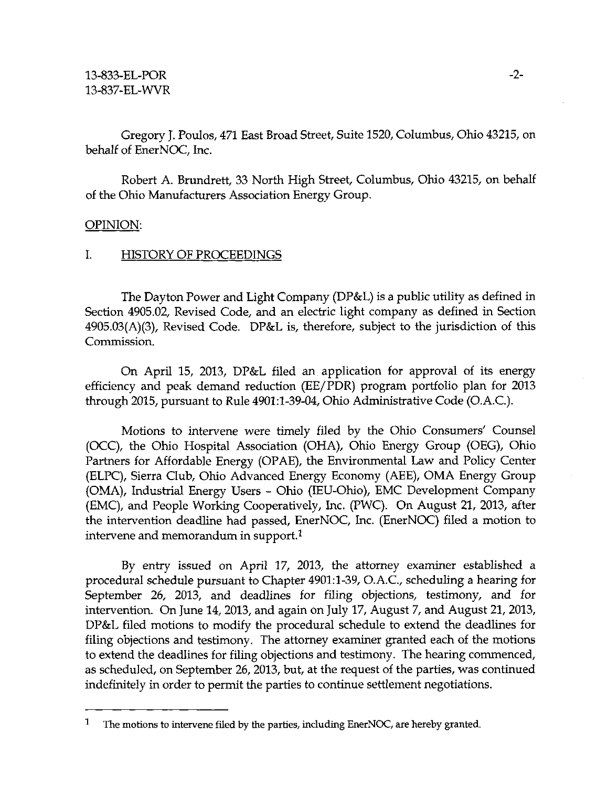Gregory J. Poulos, 471 East Broad Stteet, Suite 1520, Columbus, Ohio 43215, on behalf of EnerNOC, Inc.

Robert A. Brundrett, 33 North High Stteet, Columbus, Ohio 43215, on behalf of the Ohio Manufacturers Association Energy Group.

#### OPINION:

## I. HISTORY OF PROCEEDINGS

The Dayton Power and Light Company (DP&L) is a public utility as defined in Section 4905.02, Revised Code, and an electric light company as defined in Section  $4905.03(A)(3)$ , Revised Code. DP&L is, therefore, subject to the jurisdiction of this Commission.

On April 15, 2013, DP&L filed an application for approval of its energy efficiency and peak demand reduction (EE/PDR) program portfolio plan for 2013 through 2015, pursuant to Rule 4901:1-39-04, Ohio Administtative Code (O.A.C).

Motions to intervene were timely filed by the Ohio Consumers' Counsel (OCC), the Ohio Hospital Association (OHA), Ohio Energy Group (OEG), Ohio Partners for Affordable Energy (OPAE), the Environmental Law and Policy Center (ELPC), Sierra Club, Ohio Advanced Energy Economy (AEE), OMA Energy Group (OMA), Industtial Energy Users - Ohio (lEU-Ohio), EMC Development Company (EMC), and People Working Cooperatively, Inc. (PWC). On August 21, 2013, after the intervention deadline had passed, EnerNOC, Inc. (EnerNOC) filed a motion to intervene and memorandum in support.<sup>1</sup>

By entty issued on April 17, 2013, the attorney examiner established a procedural schedule pursuant to Chapter 4901:1-39, O.A.C, scheduling a hearing for September 26, 2013, and deadlines for filing objections, testimony, and for intervention. On June 14, 2013, and again on July 17, August 7, and August 21, 2013, DP&L filed motions to modify the procedural schedule to extend the deadlines for filing objections and testimony. The attorney examiner granted each of the motions to extend the deadlines for filing objections and testimony. The hearing commenced, as scheduled, on September 26, 2013, but, at the request of the parties, was continued indefinitely in order to permit the parties to continue settlement negotiations.

 $\mathbf{1}$ The motions to intervene filed by the parties, including EnerNOC, are hereby granted.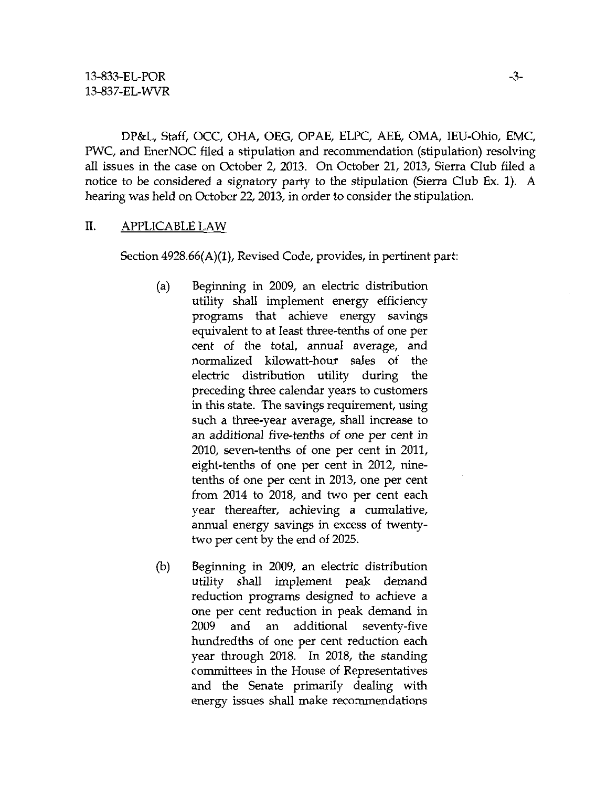DP&L, Staff, OCC, OHA, OEG, OPAE, ELPC, AEE, OMA, lEU-Ohio, EMC, PWC, and EnerNOC filed a stipulation and recommendation (stipulation) resolving all issues in the case on October 2, 2013. On October 21, 2013, Sierra Club filed a notice to be considered a signatory party to the stipulation (Sierra Club Ex. 1). A hearing was held on October 22, 2013, in order to consider the stipulation.

## II. APPLICABLE LAW

Section 4928.66(A)(1), Revised Code, provides, in pertinent part:

- (a) Beginning in 2009, an electric distribution utility shall implement energy efficiency programs that achieve energy savings equivalent to at least three-tenths of one per cent of the total, annual average, and normalized kilowatt-hour sales of the electric distribution utility during the preceding three calendar years to customers in this state. The savings requirement, using such a three-year average, shall increase to an additional five-tenths of one per cent in 2010, seven-tenths of one per cent in 2011, eight-tenths of one per cent in 2012, ninetenths of one per cent in 2013, one per cent from 2014 to 2018, and two per cent each year thereafter, achieving a cumulative, annual energy savings in excess of twentytwo per cent by the end of 2025.
- (b) Beginning in 2009, an electric distribution utility shall implement peak demand reduction programs designed to achieve a one per cent reduction in peak demand in 2009 and an additional seventy-five hundredths of one per cent reduction each year through 2018. In 2018, the standing committees in the House of Representatives and the Senate primarily dealing with energy issues shall make recommendations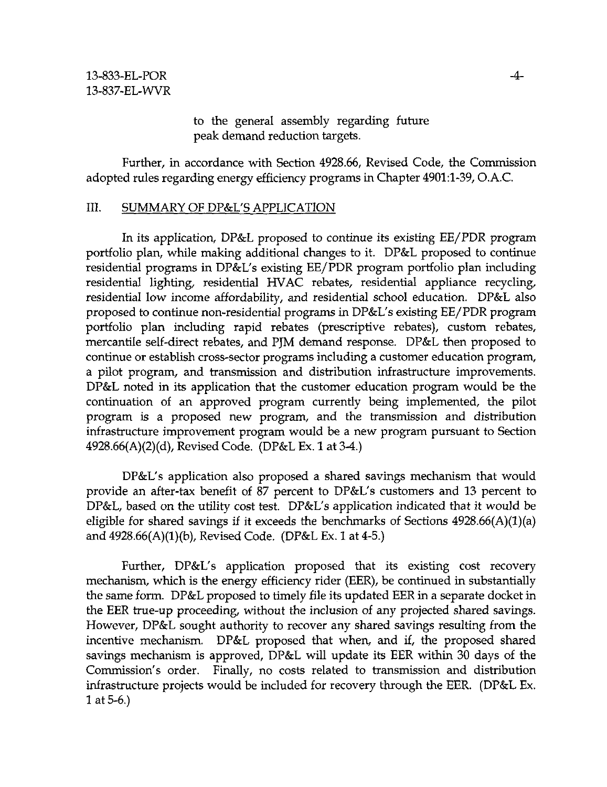to the general assembly regarding future peak demand reduction targets.

Further, in accordance with Section 4928.66, Revised Code, the Commission adopted rules regarding energy efficiency programs in Chapter 4901:1-39, O.A.C

## III. SUMMARY OF DP&L'S APPLICATION

In its application, DP&L proposed to continue its existing EE/PDR program portfolio plan, while making additional changes to it. DP&L proposed to continue residential programs in DP&L's existing EE/PDR program portfolio plan including residential lighting, residential HVAC rebates, residential appliance recycling, residential low income affordability, and residential school education. DP&L also proposed to continue non-residential programs in DP&L's existing EE/PDR program portfolio plan including rapid rebates (prescriptive rebates), custom rebates, mercantile self-direct rebates, and PJM demand response. DP&L then proposed to continue or establish cross-sector programs including a customer education program, a pilot program, and transmission and distribution infrastructure improvements. DP&L noted in its application that the customer education program would be the continuation of an approved program currently being implemented, the pilot program is a proposed new program, and the transmission and distribution infrasttucture improvement program would be a new program pursuant to Section 4928.66(A)(2)(d), Revised Code. (DP&L Ex. 1 at 3-4.)

DP&L's application also proposed a shared savings mechanism that would provide an after-tax benefit of 87 percent to DP&L's customers and 13 percent to DP&L, based on the utility cost test. DP&L's application indicated that it would be eligible for shared savings if it exceeds the benchmarks of Sections  $4928.66(A)(1)(a)$ and 4928.66(A)(1)(b), Revised Code. (DP&L Ex. 1 at 4-5.)

Further, DP&L's application proposed that its existing cost recovery mechanism, which is the energy efficiency rider (EER), be continued in substantially the same form. DP&L proposed to timely file its updated EER in a separate docket in the EER ttue-up proceeding, without the inclusion of any projected shared savings. However, DP&L sought authority to recover any shared savings resulting from the incentive mechanism. DP&L proposed that when, and if, the proposed shared savings mechanism is approved, DP&L will update its EER within 30 days of the Commission's order. Finally, no costs related to transmission and distribution infrasttucture projects would be included for recovery through the EER. (DP&L Ex. 1 at 5-6.)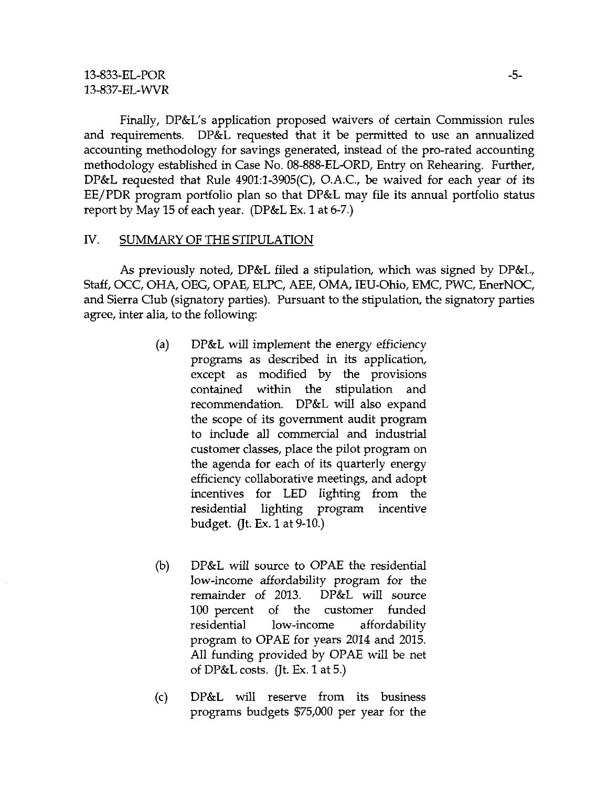Finally, DP&L's application proposed waivers of certain Commission rules and requirements. DP&L requested that it be permitted to use an annualized accounting methodology for savings generated, instead of the pro-rated accounting methodology established in Case No. 08-888-EL-ORD, Entty on Rehearing. Further, DP&L requested that Rule  $4901:1-3905(C)$ , O.A.C., be waived for each year of its EE/PDR program portfolio plan so that DP&L may file its annual portfolio status report by May 15 of each year. (DP&L Ex. 1 at 6-7.)

# IV. SUMMARY OF THE STIPULATION

As previously noted, DP&L filed a stipulation, which was signed by DP&L, Staff, OCC, OHA, OEG, OPAE, ELPC, AEE, OMA, lEU-Ohio, EMC, PWC, EnerNOC, and Sierra Club (signatory parties). Pursuant to the stipulation, the signatory parties agree, inter alia, to the following:

- (a) DP&L will implement the energy efficiency programs as described in its application, except as modified by the provisions contained within the stipulation and recommendation. DP&L will also expand the scope of its government audit program to include all commercial and industrial customer classes, place the pilot program on the agenda for each of its quarterly energy efficiency collaborative meetings, and adopt incentives for LED lighting from the residential lighting program incentive budget. (Jt. Ex. 1 at 9-10.)
- (b) DP&L will source to OPAE the residential low-income affordability program for the remainder of 2013. DP&L will source 100 percent of the customer funded residential low-income affordability program to OPAE for years 2014 and 2015. All funding provided by OPAE will be net of DP&L costs. (Jt. Ex. 1 at 5.)
- (c) DP&L will reserve from its business programs budgets \$75,000 per year for the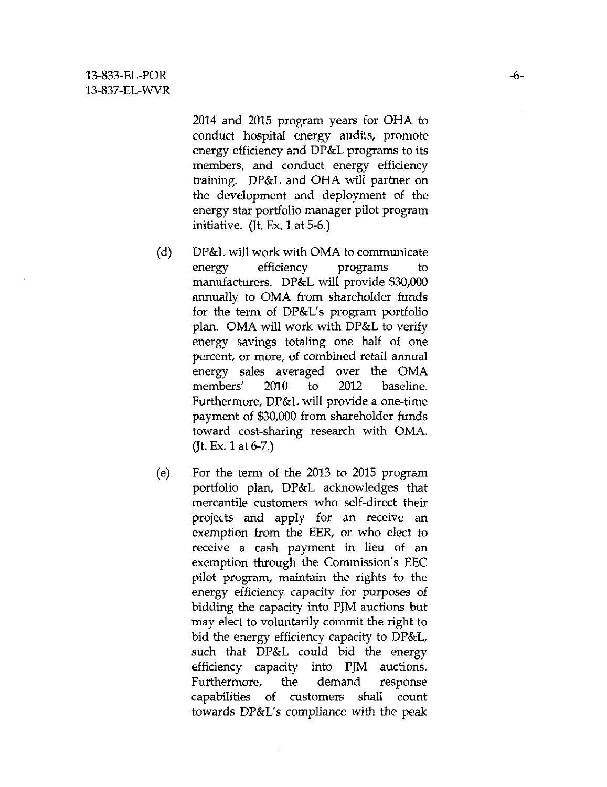2014 and 2015 program years for OHA to conduct hospital energy audits, promote energy efficiency and DP&L programs to its members, and conduct energy efficiency training. DP&L and OHA will partner on the development and deployment of the energy star portfolio manager pilot program initiative. (Jt. Ex. 1 at 5-6.)

- (d) DP&L will work with OMA to communicate energy efficiency programs to manufacturers. DP&L will provide \$30,000 annually to OMA from shareholder funds for the term of DP&L's program portfolio plan. OMA will work with DP&L to verify energy savings totaling one half of one percent, or more, of combined retail annual energy sales averaged over the OMA members' 2010 to 2012 baseline. Furthermore, DP&L will provide a one-time payment of \$30,000 from shareholder funds toward cost-sharing research with OMA. (Jt. Ex. 1 at  $6-7$ .)
- (e) For the term of the 2013 to 2015 program portfolio plan, DP&L acknowledges that mercantile customers who self-direct their projects and apply for an receive an exemption from the EER, or who elect to receive a cash payment in lieu of an exemption through the Commission's EEC pilot program, maintain the rights to the energy efficiency capacity for purposes of bidding the capacity into PJM auctions but may elect to voluntarily commit the right to bid the energy efficiency capacity to DP&L, such that DP&L could bid the energy efficiency capacity into PJM auctions. Furthermore, the demand response capabilities of customers shall count towards DP&L's compliance with the peak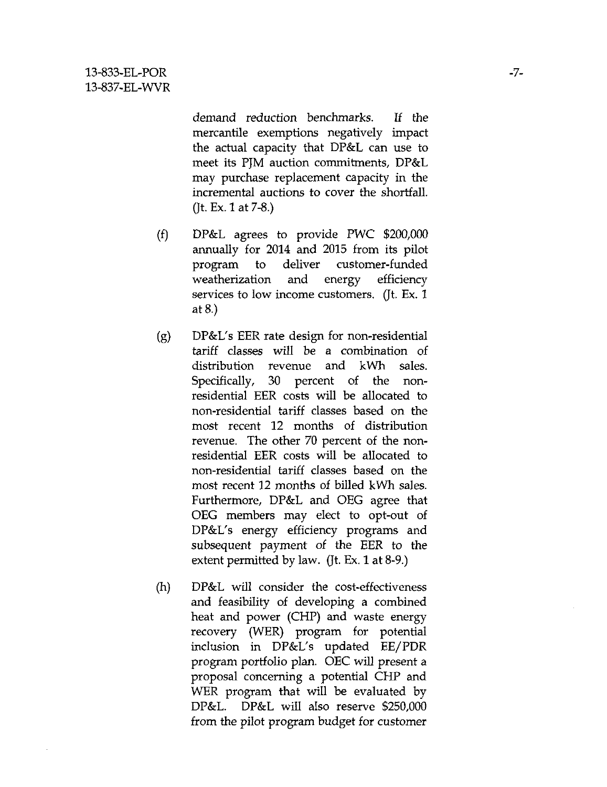demand reduction benchmarks. If the mercantile exemptions negatively impact the actual capacity that DP&L can use to meet its PJM auction commitments, DP&L may purchase replacement capacity in the incremental auctions to cover the shortfall. (Jt. Ex. 1 at 7-8.)

- (f) DP&L agrees to provide PWC \$200,000 annually for 2014 and 2015 from its pilot program to deliver customer-funded weatherization and energy efficiency services to low income customers. (Jt. Ex. 1 at 8.)
- (g) DP&L's EER rate design for non-residential tariff classes will be a combination of distribution revenue and kWh sales. Specifically, 30 percent of the nonresidential EER costs will be allocated to non-residential tariff classes based on the most recent 12 months of disttibution revenue. The other 70 percent of the nonresidential EER costs will be allocated to non-residential tariff classes based on the most recent 12 months of billed kWh sales. Furthermore, DP&L and OEG agree that OEG members may elect to opt-out of DP&L's energy efficiency programs and subsequent payment of the EER to the extent permitted by law. (Jt. Ex. 1 at 8-9.)
- (h) DP&L will consider the cost-effectiveness and feasibility of developing a combined heat and power (CHP) and waste energy recovery (WER) program for potential inclusion in DP&L's updated EE/PDR program portfolio plan. OEC will present a proposal concerning a potential CHP and WER program that will be evaluated by DP&L. DP&L will also reserve \$250,000 from the pilot program budget for customer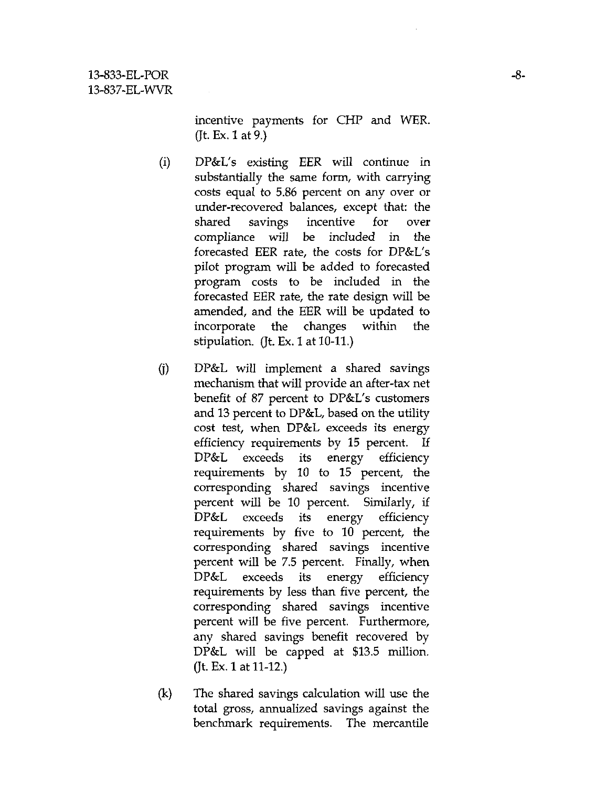incentive payments for CHP and WER. (Jt. Ex. 1 at 9.)

- (i) DP&L's existing EER will continue in substantially the same form, with carrying costs equal to 5.86 percent on any over or under-recovered balances, except that: the shared savings incentive for over compliance will be included in the forecasted EER rate, the costs for DP&L's pilot program will be added to forecasted program costs to be included in the forecasted EER rate, the rate design will be amended, and the EER will be updated to incorporate the changes within the stipulation. (Jt. Ex. 1 at 10-11.)
- (j) DP&L will implement a shared savings mechanism that will provide an after-tax net benefit of 87 percent to DP&L's customers and 13 percent to DP&L, based on the utility cost test, when DP&L exceeds its energy efficiency requirements by 15 percent. If DP&L exceeds its energy efficiency requirements by 10 to 15 percent, the corresponding shared savings incentive percent will be 10 percent. Similarly, if DP&L exceeds its energy efficiency requirements by five to 10 percent, the corresponding shared savings incentive percent will be 7.5 percent. Finally, when DP&L exceeds its energy efficiency requirements by less than five percent, the corresponding shared savings incentive percent will be five percent. Furthermore, any shared savings benefit recovered by DP&L will be capped at \$13.5 million. (Jt. Ex. 1 at 11-12.)
- (k) The shared savings calculation will use the total gross, annualized savings against the benchmark requirements. The mercantile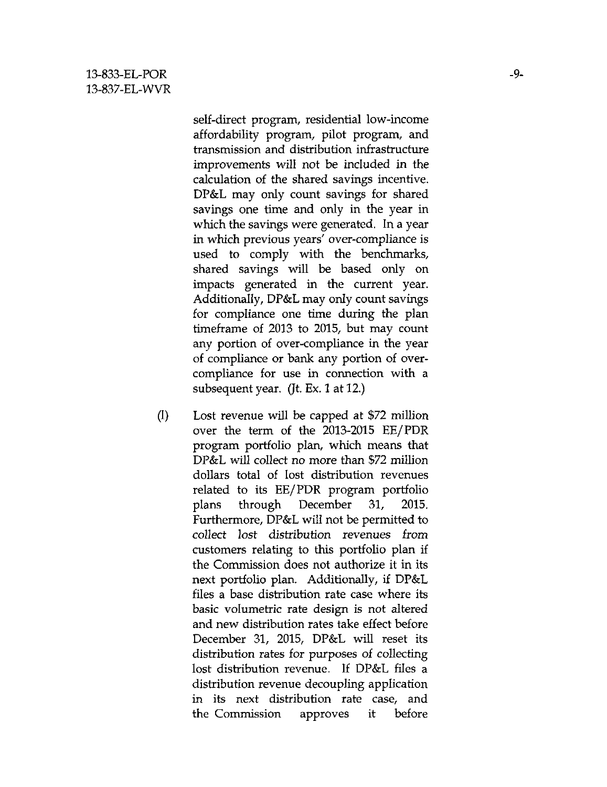self-direct program, residential low-income affordability program, pilot program, and transmission and distribution infrastructure improvements will not be included in the calculation of the shared savings incentive. DP&L may only count savings for shared savings one time and only in the year in which the savings were generated. In a year in which previous years' over-compliance is used to comply with the benchmarks, shared savings will be based only on impacts generated in the current year. Additionally, DP&L may only count savings for compliance one time during the plan timeframe of 2013 to 2015, but may count any portion of over-compliance in the year of compliance or bank any portion of overcompliance for use in connection with a subsequent year. (Jt. Ex. 1 at 12.)

(I) Lost revenue will be capped at \$72 million over the term of the 2013-2015 EE/PDR program portfolio plan, which means that DP&L will collect no more than \$72 million dollars total of lost distribution revenues related to its EE/PDR program portfolio plans through December 31, 2015. Furthermore, DP&L will not be permitted to collect lost disttibution revenues from customers relating to this portfolio plan if the Commission does not authorize it in its next portfolio plan. Additionally, if DP&L files a base disttibution rate case where its basic volumettic rate design is not altered and new disttibution rates take effect before December 31, 2015, DP&L will reset its distribution rates for purposes of collecting lost distribution revenue. If DP&L files a distribution revenue decoupling application in its next distribution rate case, and the Commission approves it before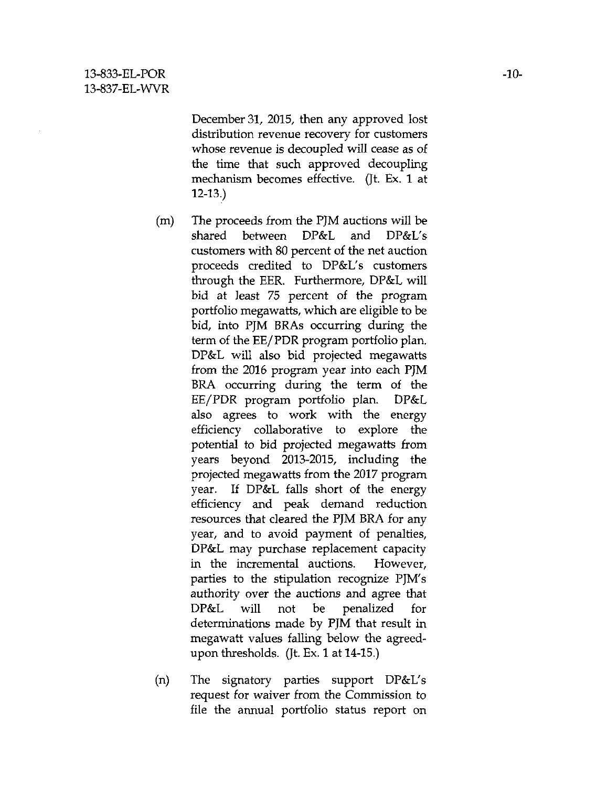December 31, 2015, then any approved lost disttibution revenue recovery for customers whose revenue is decoupled will cease as of the time that such approved decoupling mechanism becomes effective. (Jt. Ex. 1 at 12-13.)

- (m) The proceeds from the PJM auctions will be shared between DP&L and DP&L's customers with 80 percent of the net auction proceeds credited to DP&L's customers through the EER. Furthermore, DP&L will bid at least 75 percent of the program portfolio megawatts, which are eligible to be bid, into PJM BRAs occurring during the term of the EE/PDR program portfolio plan. DP&L will also bid projected megawatts from the 2016 program year into each PJM BRA occurring during the term of the EE/PDR program portfolio plan. DP&L also agrees to work with the energy efficiency collaborative to explore the potential to bid projected megawatts from years beyond 2013-2015, including the projected megawatts from the 2017 program year. If DP&L falls short of the energy efficiency and peak demand reduction resources that cleared the PJM BRA for any year, and to avoid payment of penalties, DP&L may purchase replacement capacity in the incremental auctions. However, parties to the stipulation recognize PJM's authority over the auctions and agree that DP&L will not be penalized for determinations made by PJM that result in megawatt values falling below the agreedupon thresholds. (Jt. Ex. 1 at 14-15.)
- (n) The signatory parties support DP&L's request for waiver from the Commission to file the annual portfolio status report on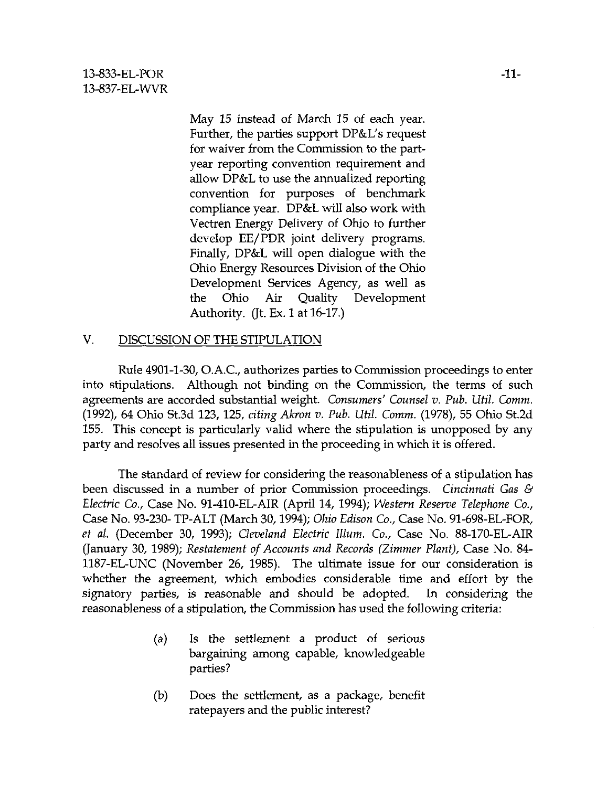May 15 instead of March 15 of each year. Further, the parties support DP&L's request for waiver from the Commission to the partyear reporting convention requirement and allow DP&L to use the annualized reporting convention for purposes of benchmark compliance year. DP&L will also work with Vectten Energy Delivery of Ohio to further develop EE/PDR joint delivery programs. Finally, DP&L will open dialogue with the Ohio Energy Resources Division of the Ohio Development Services Agency, as well as the Ohio Air Quality Development Authority. (Jt. Ex. 1 at 16-17.)

## V. DISCUSSION OF THE STIPULATION

Rule 4901-1-30, O.A.C, authorizes parties to Commission proceedings to enter into stipulations. Although not binding on the Commission, the terms of such agreements are accorded substantial weight. Consumers' Counsel v. Pub. Util. Comm. (1992), 64 Ohio St.3d 123, 125, citing Akron v. Pub. Util. Comm. (1978), 55 Ohio St.2d 155. This concept is particularly valid where the stipulation is unopposed by any party and resolves all issues presented in the proceeding in which it is offered.

The standard of review for considering the reasonableness of a stipulation has been discussed in a number of prior Commission proceedings. Cincinnati Gas & Electric Co., Case No. 91-410-EL-AIR (April 14, 1994); Western Reserve Telephone Co., Case No. 93-230- TP-ALT (March 30,1994); Ohio Edison Co., Case No. 91-698-EL-FOR, et al. (December 30, 1993); Cleveland Electric Ilium. Co., Case No. 88-170-EL-AIR (January 30, 1989); Restatement of Accounts and Records (Zimmer Plant), Case No. 84- 1187-EL-UNC (November 26, 1985). The ultimate issue for our consideration is whether the agreement, which embodies considerable time and effort by the signatory parties, is reasonable and should be adopted. In considering the reasonableness of a stipulation, the Commission has used the following criteria:

- (a) Is the settlement a product of serious bargaining among capable, knowledgeable parties?
- (b) Does the settlement, as a package, benefit ratepayers and the public interest?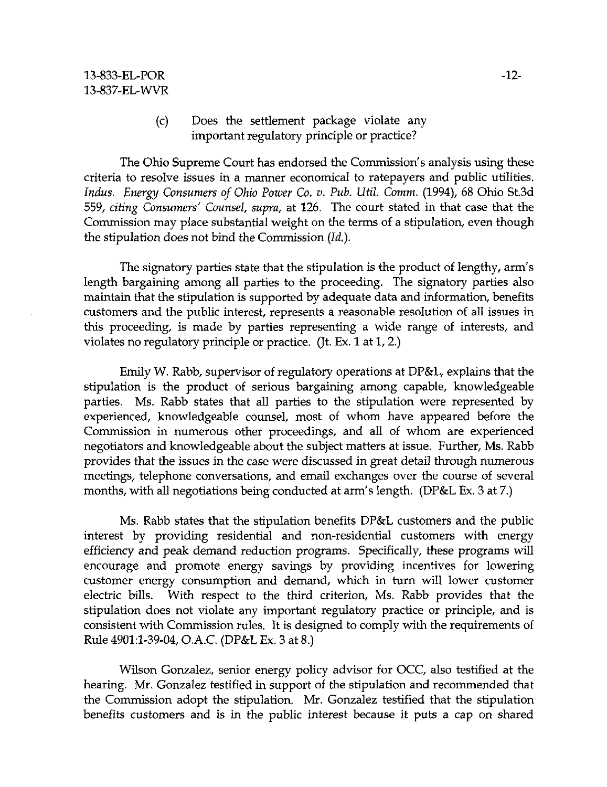## (c) Does the settlement package violate any important regulatory principle or practice?

The Ohio Supreme Court has endorsed the Commission's analysis using these criteria to resolve issues in a manner economical to ratepayers and public utilities. Indus. Energy Consumers of Ohio Power Co. v. Pub. Util. Comm. (1994), 68 Ohio St.3d 559, citing Consumers' Counsel, supra, at 126. The court stated in that case that the Commission may place substantial weight on the terms of a stipulation, even though the stipulation does not bind the Commission (Id.).

The signatory parties state that the stipulation is the product of lengthy, arm's length bargaining among all parties to the proceeding. The signatory parties also maintain that the stipulation is supported by adequate data and information, benefits customers and the public interest, represents a reasonable resolution of all issues in this proceeding, is made by parties representing a wide range of interests, and violates no regulatory principle or practice. (Jt. Ex. 1 at 1, 2.)

Emily W. Rabb, supervisor of regulatory operations at DP&L, explains that the stipulation is the product of serious bargaining among capable, knowledgeable parties. Ms. Rabb states that all parties to the stipulation were represented by experienced, knowledgeable counsel, most of whom have appeared before the Commission in numerous other proceedings, and all of whom are experienced negotiators and knowledgeable about the subject matters at issue. Further, Ms. Rabb provides that the issues in the case were discussed in great detail through numerous meetings, telephone conversations, and email exchanges over the course of several months, with all negotiations being conducted at arm's length. (DP&L Ex. 3 at 7.)

Ms. Rabb states that the stipulation benefits DP&L customers and the public interest by providing residential and non-residential customers with energy efficiency and peak demand reduction programs. Specifically, these programs will encourage and promote energy savings by providing incentives for lowering customer energy consumption and demand, which in turn will lower customer electric bills. With respect to the third criterion, Ms. Rabb provides that the stipulation does not violate any important regulatory practice or principle, and is consistent with Commission rules. It is designed to comply with the requirements of Rule 4901:1-39-04, O.A.C. (DP&L Ex. 3 at 8.)

Wilson Gonzalez, senior energy policy advisor for OCC, also testified at the hearing. Mr. Gonzalez testified in support of the stipulation and recommended that the Commission adopt the stipulation. Mr. Gonzalez testified that the stipulation benefits customers and is in the public interest because it puts a cap on shared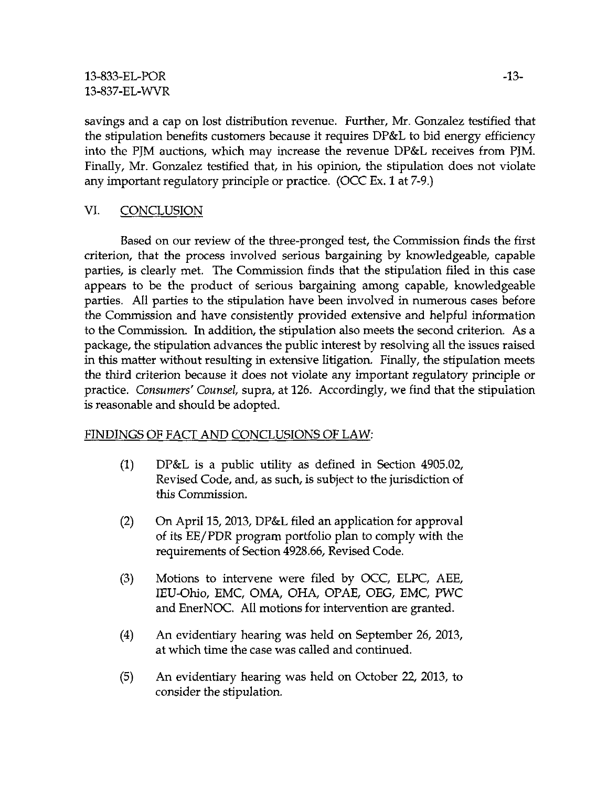savings and a cap on lost disttibution revenue. Further, Mr. Gonzalez testified that the stipulation benefits customers because it requires DP&L to bid energy efficiency into the PJM auctions, which may increase the revenue DP&L receives from PJM. Finally, Mr. Gonzalez testified that, in his opinion, the stipulation does not violate any important regulatory principle or practice. (OCC Ex. 1 at 7-9.)

# VI. CONCLUSION

Based on our review of the three-pronged test, the Commission finds the first criterion, that the process involved serious bargaining by knowledgeable, capable parties, is clearly met. The Commission finds that the stipulation filed in this case appears to be the product of serious bargaining among capable, knowledgeable parties. All parties to the stipulation have been involved in numerous cases before the Commission and have consistently provided extensive and helpful information to the Commission. In addition, the stipulation also meets the second criterion. As a package, the stipulation advances the public interest by resolving all the issues raised in this matter without resulting in extensive litigation. Finally, the stipulation meets the third criterion because it does not violate any important regulatory principle or practice. Consumers' Counsel, supra, at 126. Accordingly, we find that the stipulation is reasonable and should be adopted.

# FINDINGS OF FACT AND CONCLUSIONS OF LAW:

- (1) DP&L is a public utility as defined in Section 4905.02, Revised Code, and, as such, is subject to the jurisdiction of this Commission.
- (2) On April 15, 2013, DP&L filed an application for approval of its EE/PDR program portfolio plan to comply with the requirements of Section 4928.66, Revised Code.
- (3) Motions to intervene were filed by OCC, ELPC, AEE, lEU-Ohio, EMC, OMA, OHA, OPAE, OEG, EMC, PWC and EnerNOC. All motions for intervention are granted.
- (4) An evidentiary hearing was held on September 26, 2013, at which time the case was called and continued.
- (5) An evidentiary hearing was held on October 22, 2013, to consider the stipulation.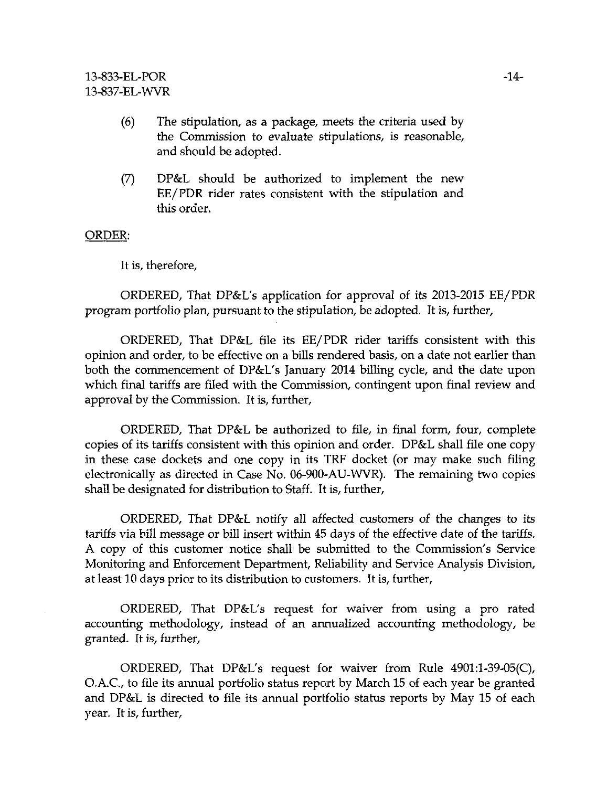- (6) The stipulation, as a package, meets the criteria used by the Commission to evaluate stipulations, is reasonable, and should be adopted.
- (7) DP&L should be authorized to implement the new EE/PDR rider rates consistent with the stipulation and this order.

#### ORDER:

It is, therefore,

ORDERED, That DP&L's application for approval of its 2013-2015 EE/PDR program portfolio plan, pursuant to the stipulation, be adopted. It is, further,

ORDERED, That DP&L tile its EE/PDR rider taritfs consistent with this opinion and order, to be effective on a bills rendered basis, on a date not earlier than both the commencement of DP&L's January 2014 billing cycle, and the date upon which final tariffs are filed with the Commission, contingent upon final review and approval by the Commission. It is, further,

ORDERED, That DP&L be authorized to file, in final form, four, complete copies of its tariffs consistent with this opinion and order. DP&L shall file one copy in these case dockets and one copy in its TRF docket (or may make such filing electtonically as directed in Case No. 06-900-AU-WVR). The remaining two copies shall be designated for distribution to Staff. It is, further,

ORDERED, That DP&L notify all affected customers of the changes to its tariffs via bill message or bill insert within 45 days of the effective date of the tariffs. A copy of this customer notice shall be submitted to the Commission's Service Monitoring and Enforcement Department, Reliability and Service Analysis Division, at least 10 days prior to its disttibution to customers. It is, further,

ORDERED, That DP&L's request for waiver from using a pro rated accounting methodology, instead of an annualized accounting methodology, be granted. It is, further,

ORDERED, That DP&L's request for waiver from Rule 4901:1-39-05(C), O.A.C, to file its annual portfolio status report by March 15 of each year be granted and DP&L is directed to file its annual portfolio status reports by May 15 of each year. It is, further.